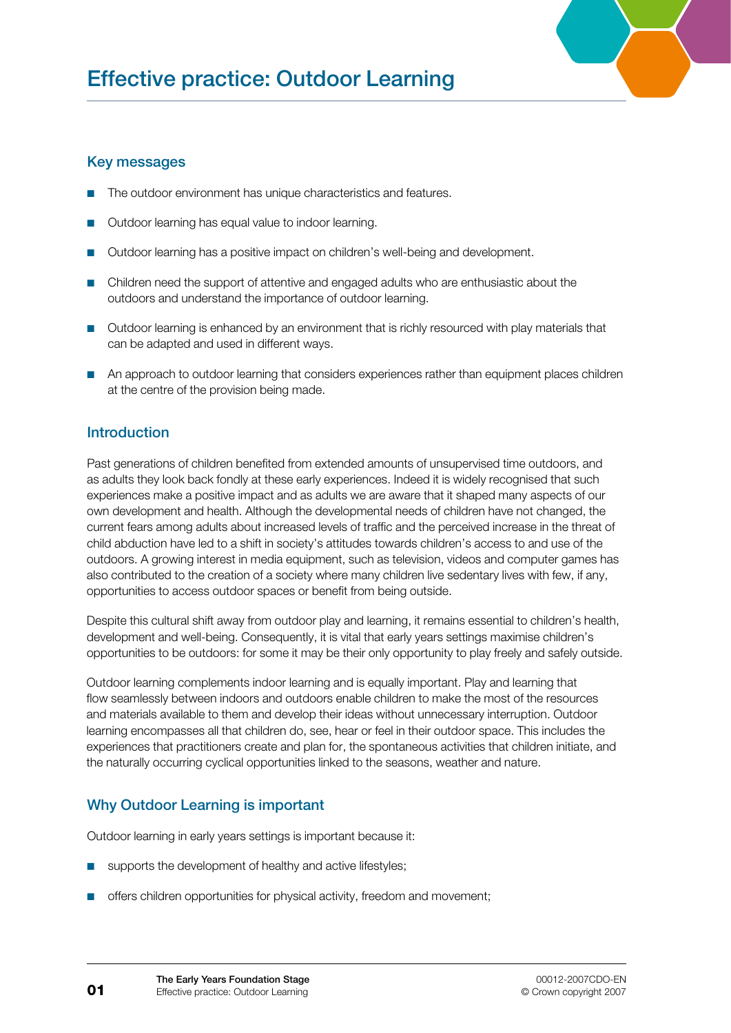

## Key messages

- The outdoor environment has unique characteristics and features. ■
- Outdoor learning has equal value to indoor learning. ■
- Outdoor learning has a positive impact on children's well-being and development. ■
- Children need the support of attentive and engaged adults who are enthusiastic about the outdoors and understand the importance of outdoor learning.
- Outdoor learning is enhanced by an environment that is richly resourced with play materials that can be adapted and used in different ways.
- An approach to outdoor learning that considers experiences rather than equipment places children at the centre of the provision being made.

# Introduction

Past generations of children benefited from extended amounts of unsupervised time outdoors, and as adults they look back fondly at these early experiences. Indeed it is widely recognised that such experiences make a positive impact and as adults we are aware that it shaped many aspects of our own development and health. Although the developmental needs of children have not changed, the current fears among adults about increased levels of traffic and the perceived increase in the threat of child abduction have led to a shift in society's attitudes towards children's access to and use of the outdoors. A growing interest in media equipment, such as television, videos and computer games has also contributed to the creation of a society where many children live sedentary lives with few, if any, opportunities to access outdoor spaces or benefit from being outside.

Despite this cultural shift away from outdoor play and learning, it remains essential to children's health, development and well-being. Consequently, it is vital that early years settings maximise children's opportunities to be outdoors: for some it may be their only opportunity to play freely and safely outside.

Outdoor learning complements indoor learning and is equally important. Play and learning that flow seamlessly between indoors and outdoors enable children to make the most of the resources and materials available to them and develop their ideas without unnecessary interruption. Outdoor learning encompasses all that children do, see, hear or feel in their outdoor space. This includes the experiences that practitioners create and plan for, the spontaneous activities that children initiate, and the naturally occurring cyclical opportunities linked to the seasons, weather and nature.

# Why Outdoor Learning is important

Outdoor learning in early years settings is important because it:

- supports the development of healthy and active lifestyles;
- offers children opportunities for physical activity, freedom and movement;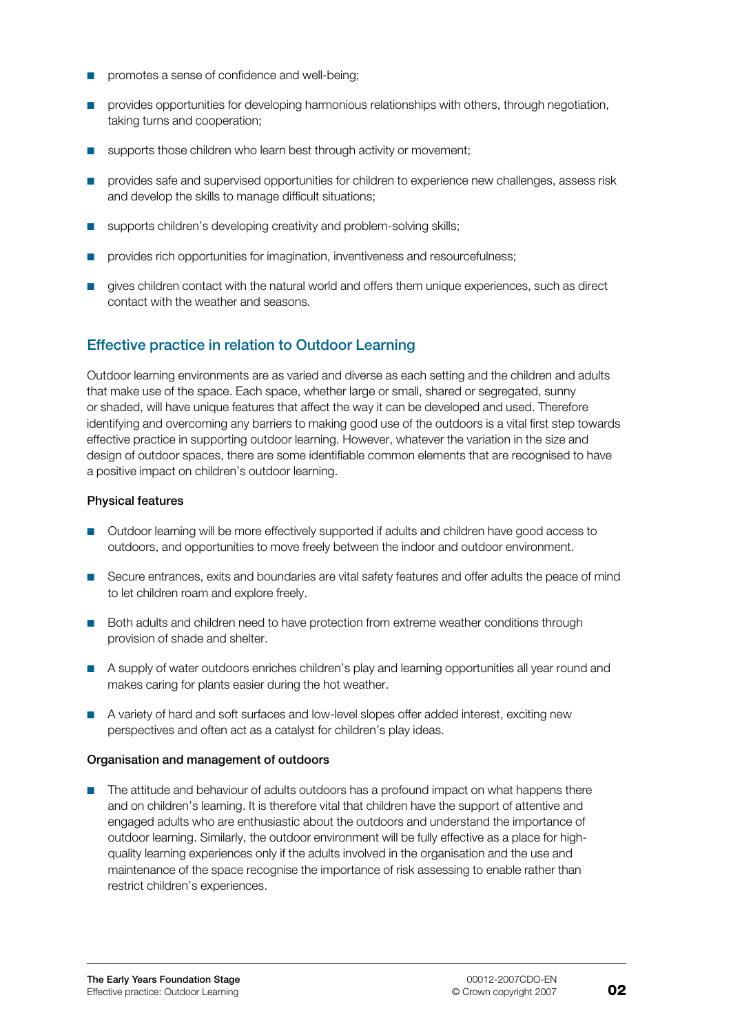- promotes a sense of confidence and well-being; ■
- provides opportunities for developing harmonious relationships with others, through negotiation, taking turns and cooperation; ■
- supports those children who learn best through activity or movement; ■
- provides safe and supervised opportunities for children to experience new challenges, assess risk and develop the skills to manage difficult situations;
- supports children's developing creativity and problem-solving skills; ■
- provides rich opportunities for imagination, inventiveness and resourcefulness;
- gives children contact with the natural world and offers them unique experiences, such as direct contact with the weather and seasons.

## Effective practice in relation to Outdoor Learning

Outdoor learning environments are as varied and diverse as each setting and the children and adults that make use of the space. Each space, whether large or small, shared or segregated, sunny or shaded, will have unique features that affect the way it can be developed and used. Therefore identifying and overcoming any barriers to making good use of the outdoors is a vital first step towards effective practice in supporting outdoor learning. However, whatever the variation in the size and design of outdoor spaces, there are some identifiable common elements that are recognised to have a positive impact on children's outdoor learning.

#### Physical features

- Outdoor learning will be more effectively supported if adults and children have good access to outdoors, and opportunities to move freely between the indoor and outdoor environment.
- Secure entrances, exits and boundaries are vital safety features and offer adults the peace of mind to let children roam and explore freely.
- Both adults and children need to have protection from extreme weather conditions through provision of shade and shelter.
- A supply of water outdoors enriches children's play and learning opportunities all year round and makes caring for plants easier during the hot weather.
- A variety of hard and soft surfaces and low-level slopes offer added interest, exciting new perspectives and often act as a catalyst for children's play ideas.

#### Organisation and management of outdoors

■ The attitude and behaviour of adults outdoors has a profound impact on what happens there and on children's learning. It is therefore vital that children have the support of attentive and engaged adults who are enthusiastic about the outdoors and understand the importance of outdoor learning. Similarly, the outdoor environment will be fully effective as a place for highquality learning experiences only if the adults involved in the organisation and the use and maintenance of the space recognise the importance of risk assessing to enable rather than restrict children's experiences.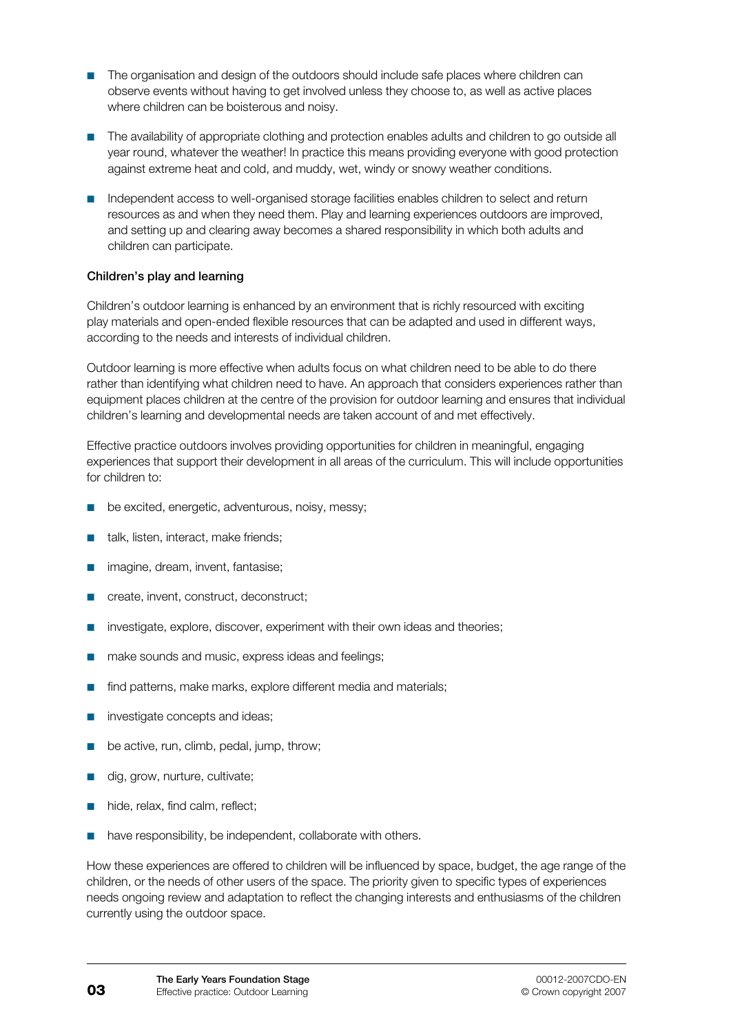- The organisation and design of the outdoors should include safe places where children can observe events without having to get involved unless they choose to, as well as active places where children can be boisterous and noisy.
- The availability of appropriate clothing and protection enables adults and children to go outside all year round, whatever the weather! In practice this means providing everyone with good protection against extreme heat and cold, and muddy, wet, windy or snowy weather conditions.
- Independent access to well-organised storage facilities enables children to select and return resources as and when they need them. Play and learning experiences outdoors are improved, and setting up and clearing away becomes a shared responsibility in which both adults and children can participate.

## Children's play and learning

Children's outdoor learning is enhanced by an environment that is richly resourced with exciting play materials and open-ended flexible resources that can be adapted and used in different ways, according to the needs and interests of individual children.

Outdoor learning is more effective when adults focus on what children need to be able to do there rather than identifying what children need to have. An approach that considers experiences rather than equipment places children at the centre of the provision for outdoor learning and ensures that individual children's learning and developmental needs are taken account of and met effectively.

Effective practice outdoors involves providing opportunities for children in meaningful, engaging experiences that support their development in all areas of the curriculum. This will include opportunities for children to:

- be excited, energetic, adventurous, noisy, messy; ■
- talk, listen, interact, make friends; ■
- imagine, dream, invent, fantasise; ■
- create, invent, construct, deconstruct; ■
- investigate, explore, discover, experiment with their own ideas and theories; ■
- make sounds and music, express ideas and feelings; ■
- find patterns, make marks, explore different media and materials; ■
- investigate concepts and ideas; ■
- be active, run, climb, pedal, jump, throw; ■
- dig, grow, nurture, cultivate; ■
- hide, relax, find calm, reflect; ■
- have responsibility, be independent, collaborate with others. ■

How these experiences are offered to children will be influenced by space, budget, the age range of the children, or the needs of other users of the space. The priority given to specific types of experiences needs ongoing review and adaptation to reflect the changing interests and enthusiasms of the children currently using the outdoor space.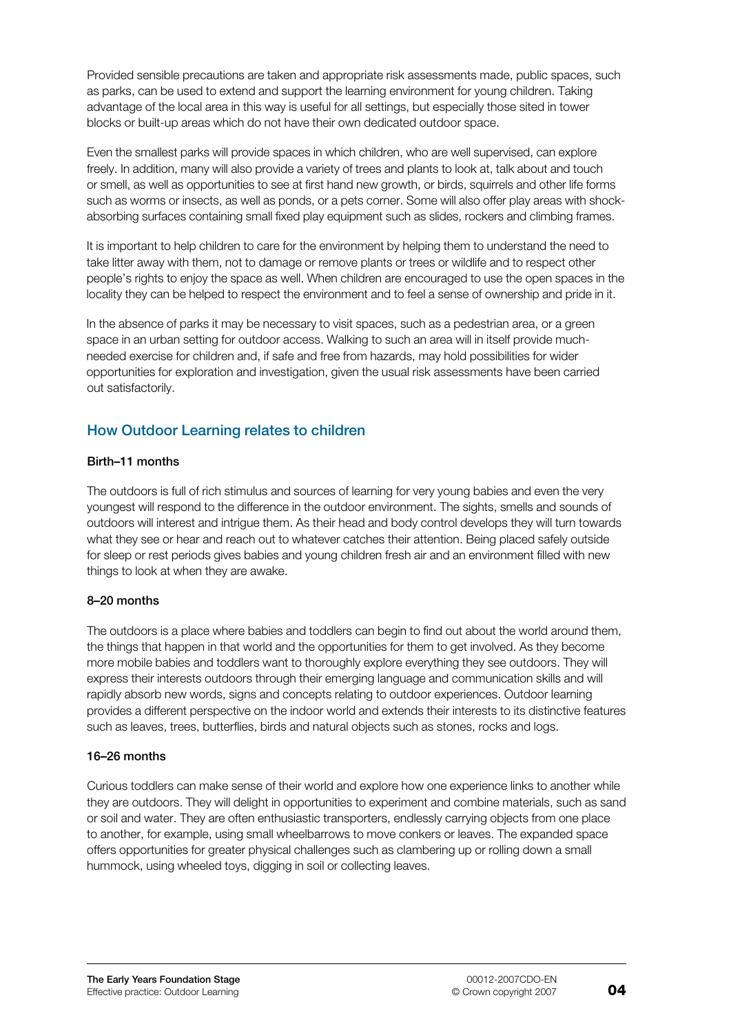Provided sensible precautions are taken and appropriate risk assessments made, public spaces, such as parks, can be used to extend and support the learning environment for young children. Taking advantage of the local area in this way is useful for all settings, but especially those sited in tower blocks or built-up areas which do not have their own dedicated outdoor space.

Even the smallest parks will provide spaces in which children, who are well supervised, can explore freely. In addition, many will also provide a variety of trees and plants to look at, talk about and touch or smell, as well as opportunities to see at first hand new growth, or birds, squirrels and other life forms such as worms or insects, as well as ponds, or a pets corner. Some will also offer play areas with shockabsorbing surfaces containing small fixed play equipment such as slides, rockers and climbing frames.

It is important to help children to care for the environment by helping them to understand the need to take litter away with them, not to damage or remove plants or trees or wildlife and to respect other people's rights to enjoy the space as well. When children are encouraged to use the open spaces in the locality they can be helped to respect the environment and to feel a sense of ownership and pride in it.

In the absence of parks it may be necessary to visit spaces, such as a pedestrian area, or a green space in an urban setting for outdoor access. Walking to such an area will in itself provide muchneeded exercise for children and, if safe and free from hazards, may hold possibilities for wider opportunities for exploration and investigation, given the usual risk assessments have been carried out satisfactorily.

# How Outdoor Learning relates to children

## Birth–11 months

The outdoors is full of rich stimulus and sources of learning for very young babies and even the very youngest will respond to the difference in the outdoor environment. The sights, smells and sounds of outdoors will interest and intrigue them. As their head and body control develops they will turn towards what they see or hear and reach out to whatever catches their attention. Being placed safely outside for sleep or rest periods gives babies and young children fresh air and an environment filled with new things to look at when they are awake.

## 8–20 months

The outdoors is a place where babies and toddlers can begin to find out about the world around them, the things that happen in that world and the opportunities for them to get involved. As they become more mobile babies and toddlers want to thoroughly explore everything they see outdoors. They will express their interests outdoors through their emerging language and communication skills and will rapidly absorb new words, signs and concepts relating to outdoor experiences. Outdoor learning provides a different perspective on the indoor world and extends their interests to its distinctive features such as leaves, trees, butterflies, birds and natural objects such as stones, rocks and logs.

## 16–26 months

Curious toddlers can make sense of their world and explore how one experience links to another while they are outdoors. They will delight in opportunities to experiment and combine materials, such as sand or soil and water. They are often enthusiastic transporters, endlessly carrying objects from one place to another, for example, using small wheelbarrows to move conkers or leaves. The expanded space offers opportunities for greater physical challenges such as clambering up or rolling down a small hummock, using wheeled toys, digging in soil or collecting leaves.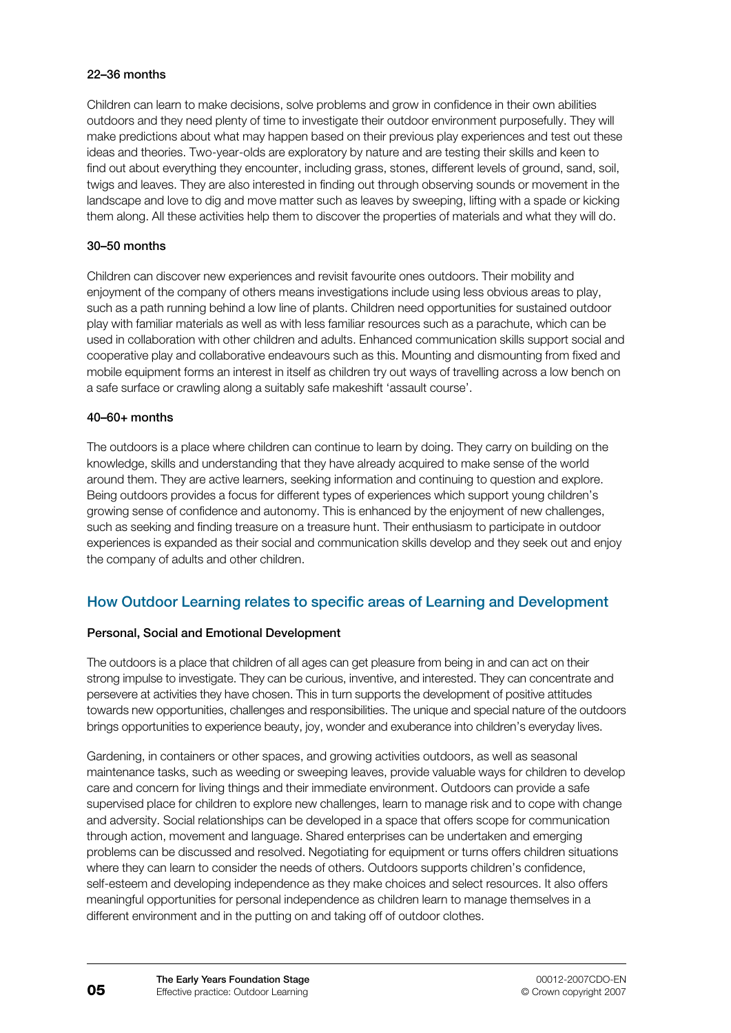## 22–36 months

Children can learn to make decisions, solve problems and grow in confidence in their own abilities outdoors and they need plenty of time to investigate their outdoor environment purposefully. They will make predictions about what may happen based on their previous play experiences and test out these ideas and theories. Two-year-olds are exploratory by nature and are testing their skills and keen to find out about everything they encounter, including grass, stones, different levels of ground, sand, soil, twigs and leaves. They are also interested in finding out through observing sounds or movement in the landscape and love to dig and move matter such as leaves by sweeping, lifting with a spade or kicking them along. All these activities help them to discover the properties of materials and what they will do.

### 30–50 months

Children can discover new experiences and revisit favourite ones outdoors. Their mobility and enjoyment of the company of others means investigations include using less obvious areas to play, such as a path running behind a low line of plants. Children need opportunities for sustained outdoor play with familiar materials as well as with less familiar resources such as a parachute, which can be used in collaboration with other children and adults. Enhanced communication skills support social and cooperative play and collaborative endeavours such as this. Mounting and dismounting from fixed and mobile equipment forms an interest in itself as children try out ways of travelling across a low bench on a safe surface or crawling along a suitably safe makeshift 'assault course'.

#### 40–60+ months

The outdoors is a place where children can continue to learn by doing. They carry on building on the knowledge, skills and understanding that they have already acquired to make sense of the world around them. They are active learners, seeking information and continuing to question and explore. Being outdoors provides a focus for different types of experiences which support young children's growing sense of confidence and autonomy. This is enhanced by the enjoyment of new challenges, such as seeking and finding treasure on a treasure hunt. Their enthusiasm to participate in outdoor experiences is expanded as their social and communication skills develop and they seek out and enjoy the company of adults and other children.

## How Outdoor Learning relates to specific areas of Learning and Development

## Personal, Social and Emotional Development

The outdoors is a place that children of all ages can get pleasure from being in and can act on their strong impulse to investigate. They can be curious, inventive, and interested. They can concentrate and persevere at activities they have chosen. This in turn supports the development of positive attitudes towards new opportunities, challenges and responsibilities. The unique and special nature of the outdoors brings opportunities to experience beauty, joy, wonder and exuberance into children's everyday lives.

Gardening, in containers or other spaces, and growing activities outdoors, as well as seasonal maintenance tasks, such as weeding or sweeping leaves, provide valuable ways for children to develop care and concern for living things and their immediate environment. Outdoors can provide a safe supervised place for children to explore new challenges, learn to manage risk and to cope with change and adversity. Social relationships can be developed in a space that offers scope for communication through action, movement and language. Shared enterprises can be undertaken and emerging problems can be discussed and resolved. Negotiating for equipment or turns offers children situations where they can learn to consider the needs of others. Outdoors supports children's confidence, self-esteem and developing independence as they make choices and select resources. It also offers meaningful opportunities for personal independence as children learn to manage themselves in a different environment and in the putting on and taking off of outdoor clothes.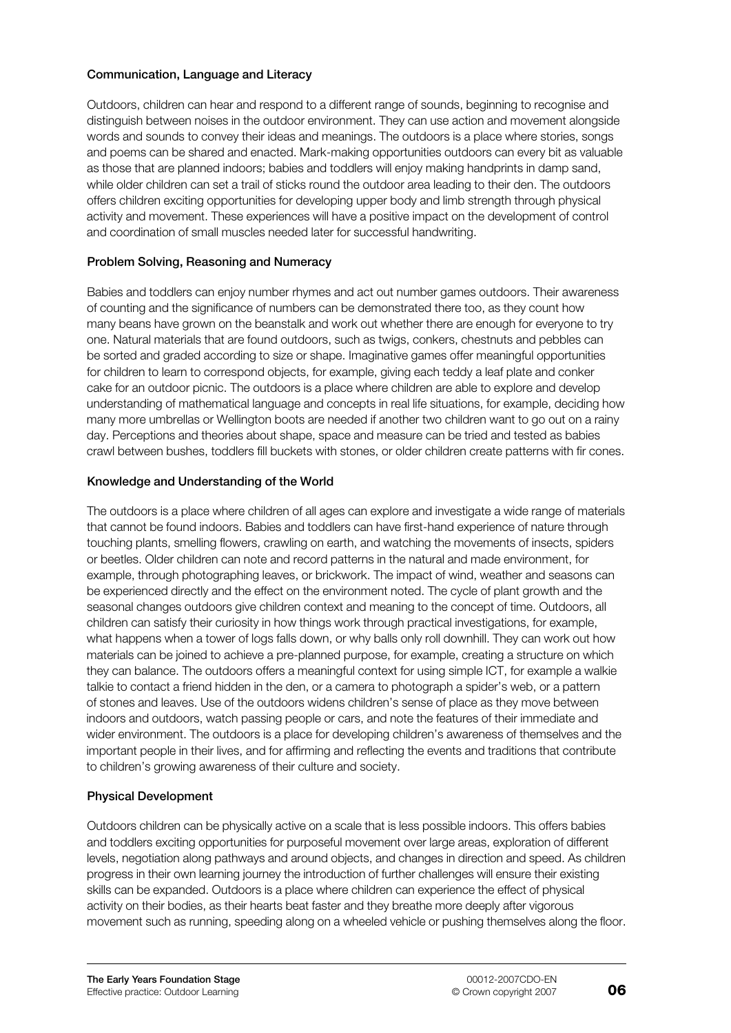### Communication, Language and Literacy

Outdoors, children can hear and respond to a different range of sounds, beginning to recognise and distinguish between noises in the outdoor environment. They can use action and movement alongside words and sounds to convey their ideas and meanings. The outdoors is a place where stories, songs and poems can be shared and enacted. Mark-making opportunities outdoors can every bit as valuable as those that are planned indoors; babies and toddlers will enjoy making handprints in damp sand, while older children can set a trail of sticks round the outdoor area leading to their den. The outdoors offers children exciting opportunities for developing upper body and limb strength through physical activity and movement. These experiences will have a positive impact on the development of control and coordination of small muscles needed later for successful handwriting.

## Problem Solving, Reasoning and Numeracy

Babies and toddlers can enjoy number rhymes and act out number games outdoors. Their awareness of counting and the significance of numbers can be demonstrated there too, as they count how many beans have grown on the beanstalk and work out whether there are enough for everyone to try one. Natural materials that are found outdoors, such as twigs, conkers, chestnuts and pebbles can be sorted and graded according to size or shape. Imaginative games offer meaningful opportunities for children to learn to correspond objects, for example, giving each teddy a leaf plate and conker cake for an outdoor picnic. The outdoors is a place where children are able to explore and develop understanding of mathematical language and concepts in real life situations, for example, deciding how many more umbrellas or Wellington boots are needed if another two children want to go out on a rainy day. Perceptions and theories about shape, space and measure can be tried and tested as babies crawl between bushes, toddlers fill buckets with stones, or older children create patterns with fir cones.

### Knowledge and Understanding of the World

The outdoors is a place where children of all ages can explore and investigate a wide range of materials that cannot be found indoors. Babies and toddlers can have first-hand experience of nature through touching plants, smelling flowers, crawling on earth, and watching the movements of insects, spiders or beetles. Older children can note and record patterns in the natural and made environment, for example, through photographing leaves, or brickwork. The impact of wind, weather and seasons can be experienced directly and the effect on the environment noted. The cycle of plant growth and the seasonal changes outdoors give children context and meaning to the concept of time. Outdoors, all children can satisfy their curiosity in how things work through practical investigations, for example, what happens when a tower of logs falls down, or why balls only roll downhill. They can work out how materials can be joined to achieve a pre-planned purpose, for example, creating a structure on which they can balance. The outdoors offers a meaningful context for using simple ICT, for example a walkie talkie to contact a friend hidden in the den, or a camera to photograph a spider's web, or a pattern of stones and leaves. Use of the outdoors widens children's sense of place as they move between indoors and outdoors, watch passing people or cars, and note the features of their immediate and wider environment. The outdoors is a place for developing children's awareness of themselves and the important people in their lives, and for affirming and reflecting the events and traditions that contribute to children's growing awareness of their culture and society.

## Physical Development

Outdoors children can be physically active on a scale that is less possible indoors. This offers babies and toddlers exciting opportunities for purposeful movement over large areas, exploration of different levels, negotiation along pathways and around objects, and changes in direction and speed. As children progress in their own learning journey the introduction of further challenges will ensure their existing skills can be expanded. Outdoors is a place where children can experience the effect of physical activity on their bodies, as their hearts beat faster and they breathe more deeply after vigorous movement such as running, speeding along on a wheeled vehicle or pushing themselves along the floor.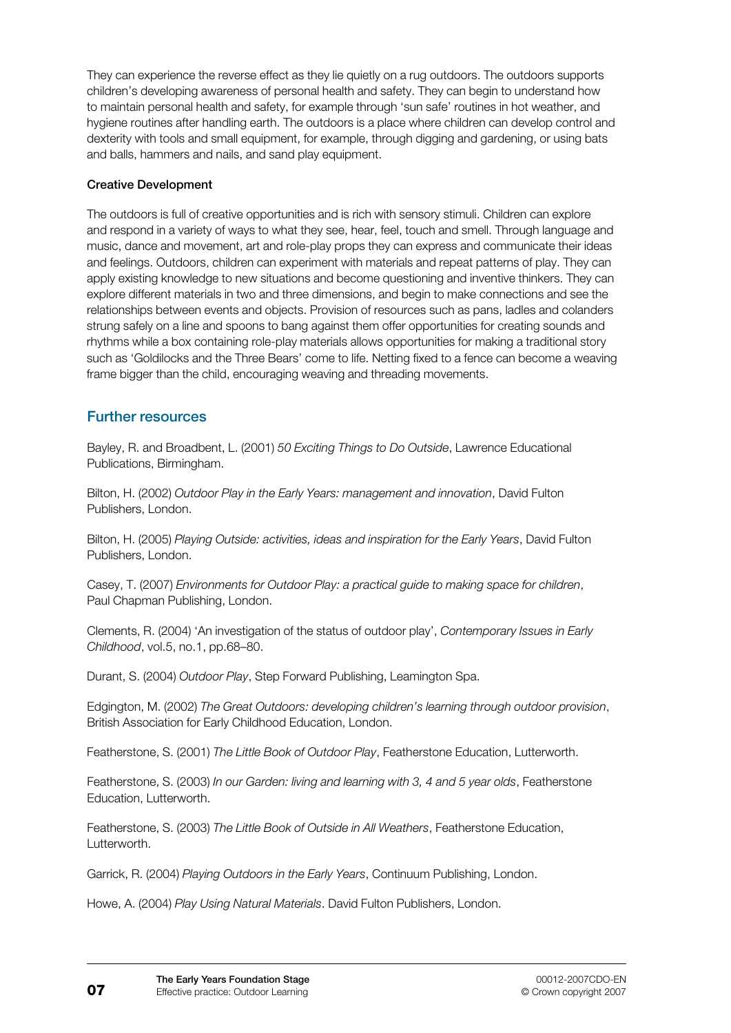They can experience the reverse effect as they lie quietly on a rug outdoors. The outdoors supports children's developing awareness of personal health and safety. They can begin to understand how to maintain personal health and safety, for example through 'sun safe' routines in hot weather, and hygiene routines after handling earth. The outdoors is a place where children can develop control and dexterity with tools and small equipment, for example, through digging and gardening, or using bats and balls, hammers and nails, and sand play equipment.

#### Creative Development

The outdoors is full of creative opportunities and is rich with sensory stimuli. Children can explore and respond in a variety of ways to what they see, hear, feel, touch and smell. Through language and music, dance and movement, art and role-play props they can express and communicate their ideas and feelings. Outdoors, children can experiment with materials and repeat patterns of play. They can apply existing knowledge to new situations and become questioning and inventive thinkers. They can explore different materials in two and three dimensions, and begin to make connections and see the relationships between events and objects. Provision of resources such as pans, ladles and colanders strung safely on a line and spoons to bang against them offer opportunities for creating sounds and rhythms while a box containing role-play materials allows opportunities for making a traditional story such as 'Goldilocks and the Three Bears' come to life. Netting fixed to a fence can become a weaving frame bigger than the child, encouraging weaving and threading movements.

## Further resources

Bayley, R. and Broadbent, L. (2001) *50 Exciting Things to Do Outside*, Lawrence Educational Publications, Birmingham.

Bilton, H. (2002) *Outdoor Play in the Early Years: management and innovation*, David Fulton Publishers, London.

Bilton, H. (2005) *Playing Outside: activities, ideas and inspiration for the Early Years*, David Fulton Publishers, London.

Casey, T. (2007) *Environments for Outdoor Play: a practical guide to making space for children*, Paul Chapman Publishing, London.

Clements, R. (2004) 'An investigation of the status of outdoor play', *Contemporary Issues in Early Childhood*, vol.5, no.1, pp.68–80.

Durant, S. (2004) *Outdoor Play*, Step Forward Publishing, Leamington Spa.

Edgington, M. (2002) *The Great Outdoors: developing children's learning through outdoor provision*, British Association for Early Childhood Education, London.

Featherstone, S. (2001) *The Little Book of Outdoor Play*, Featherstone Education, Lutterworth.

Featherstone, S. (2003) *In our Garden: living and learning with 3, 4 and 5 year olds*, Featherstone Education, Lutterworth.

Featherstone, S. (2003) *The Little Book of Outside in All Weathers*, Featherstone Education, Lutterworth.

Garrick, R. (2004) *Playing Outdoors in the Early Years*, Continuum Publishing, London.

Howe, A. (2004) *Play Using Natural Materials*. David Fulton Publishers, London.